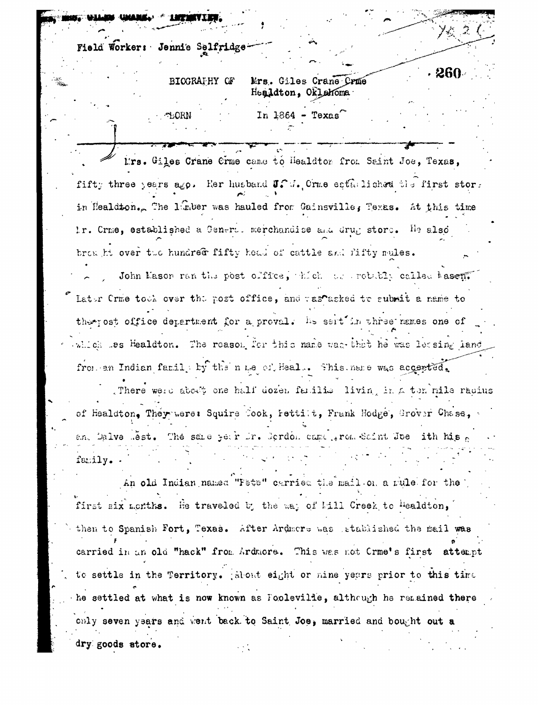Field Worker: Jennie Selfridge

**LORN** 

BIOGRAPHY OF Mrs. Giles Crane Crme Healdton, Oklahoma

In  $1864$  - Texas

. 26(

I'rs. Giles Crane Crme came to Healdtor from Saint Joe, Texas, fifty three years ago. Her husband J. V. Orme estallished the first stor. in Healdton. The limber was hauled from Gainsville, Texas. At this time Ir. Crme, established a Generod merchandise and drug store. He also browth over the hundred fifty head of cattle and fifty mules.

John Mason ran the post office, thich the robably called hasen. Lator Crme tooh over the post office, and rastasked to submit a name to there ost office department for a proval. Its sert in three names one of which les Healdton. The reason for this name was that he was letsing land from an Indian family by the nue of Heal.. Shis ness was accepted.

There were about one half dozen familie living in a ten mile radius of Healdton, They were: Squire Cook, Fettilt, Frank Hodge, Grover Chase, an. Dalve Set. The same year fr. Scrdon came grom Saint Joe ith his family.

An old Indian named "Fete" carried the mail on a rule for the first six months. He traveled by the way of kill Creek to Healdton, then to Spanish Fort, Texas. After Ardmore was stablished the mail was carried in an old "hack" from Ardmore. This was not Crme's first attempt to settle in the Territory. Rebut eight or mine years prior to this time he settled at what is now known as Fooleville, although he remained there only seven years and went back to Saint Joe, married and bought out a dry goods store.  $\mathcal{L}^{\text{max}}_{\text{max}}$